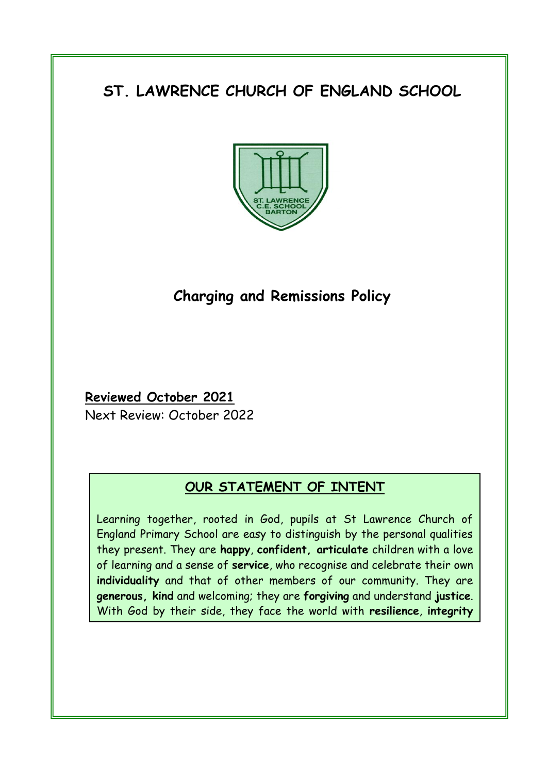# **ST. LAWRENCE CHURCH OF ENGLAND SCHOOL**



## **Charging and Remissions Policy**

## **Reviewed October 2021**

and **joy**.

Next Review: October 2022

## **OUR STATEMENT OF INTENT**

Learning together, rooted in God, pupils at St Lawrence Church of England Primary School are easy to distinguish by the personal qualities they present. They are **happy**, **confident, articulate** children with a love of learning and a sense of **service**, who recognise and celebrate their own **individuality** and that of other members of our community. They are **generous, kind** and welcoming; they are **forgiving** and understand **justice**. With God by their side, they face the world with **resilience**, **integrity**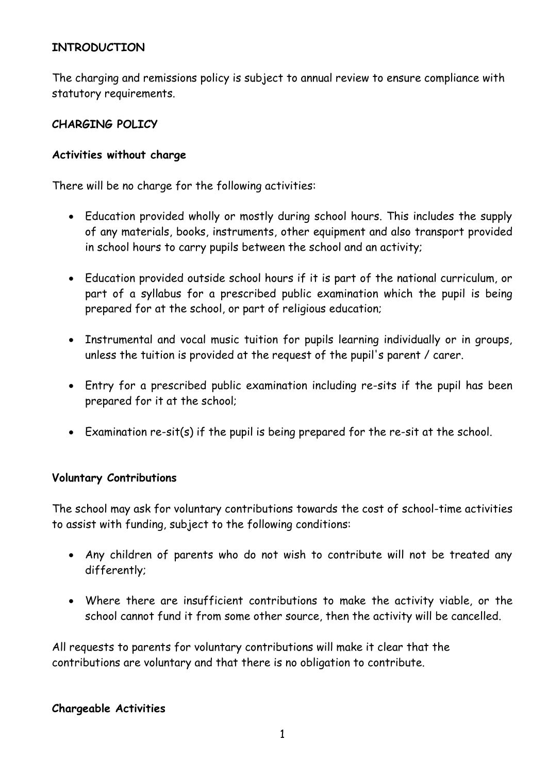## **INTRODUCTION**

The charging and remissions policy is subject to annual review to ensure compliance with statutory requirements.

#### **CHARGING POLICY**

#### **Activities without charge**

There will be no charge for the following activities:

- Education provided wholly or mostly during school hours. This includes the supply of any materials, books, instruments, other equipment and also transport provided in school hours to carry pupils between the school and an activity;
- Education provided outside school hours if it is part of the national curriculum, or part of a syllabus for a prescribed public examination which the pupil is being prepared for at the school, or part of religious education;
- Instrumental and vocal music tuition for pupils learning individually or in groups, unless the tuition is provided at the request of the pupil's parent / carer.
- Entry for a prescribed public examination including re-sits if the pupil has been prepared for it at the school;
- Examination re-sit(s) if the pupil is being prepared for the re-sit at the school.

#### **Voluntary Contributions**

The school may ask for voluntary contributions towards the cost of school-time activities to assist with funding, subject to the following conditions:

- Any children of parents who do not wish to contribute will not be treated any differently;
- Where there are insufficient contributions to make the activity viable, or the school cannot fund it from some other source, then the activity will be cancelled.

All requests to parents for voluntary contributions will make it clear that the contributions are voluntary and that there is no obligation to contribute.

#### **Chargeable Activities**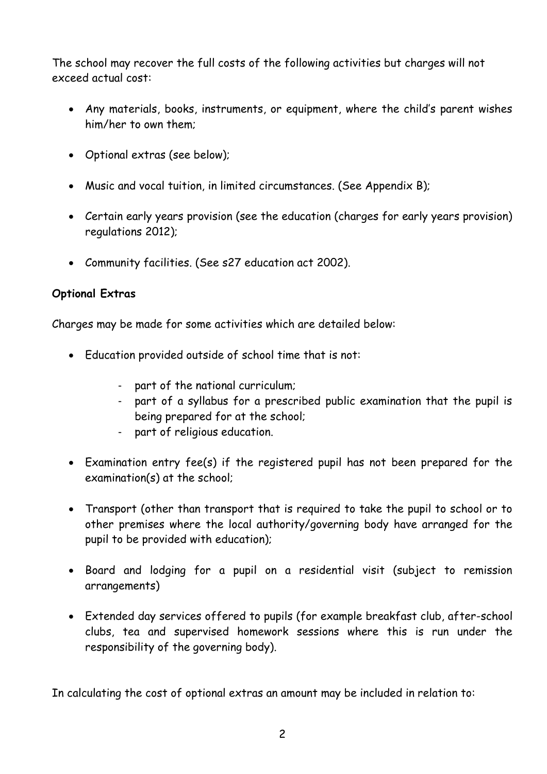The school may recover the full costs of the following activities but charges will not exceed actual cost:

- Any materials, books, instruments, or equipment, where the child's parent wishes him/her to own them;
- Optional extras (see below);
- Music and vocal tuition, in limited circumstances. (See Appendix B);
- Certain early years provision (see the education (charges for early years provision) regulations 2012);
- Community facilities. (See s27 education act 2002).

## **Optional Extras**

Charges may be made for some activities which are detailed below:

- Education provided outside of school time that is not:
	- part of the national curriculum;
	- part of a syllabus for a prescribed public examination that the pupil is being prepared for at the school;
	- part of religious education.
- Examination entry fee(s) if the registered pupil has not been prepared for the examination(s) at the school;
- Transport (other than transport that is required to take the pupil to school or to other premises where the local authority/governing body have arranged for the pupil to be provided with education);
- Board and lodging for a pupil on a residential visit (subject to remission arrangements)
- Extended day services offered to pupils (for example breakfast club, after-school clubs, tea and supervised homework sessions where this is run under the responsibility of the governing body).

In calculating the cost of optional extras an amount may be included in relation to: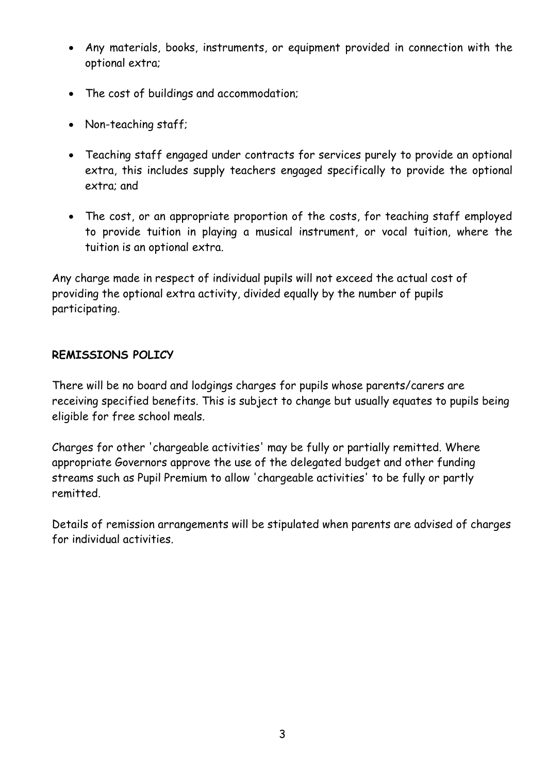- Any materials, books, instruments, or equipment provided in connection with the optional extra;
- The cost of buildings and accommodation;
- Non-teaching staff;
- Teaching staff engaged under contracts for services purely to provide an optional extra, this includes supply teachers engaged specifically to provide the optional extra; and
- The cost, or an appropriate proportion of the costs, for teaching staff employed to provide tuition in playing a musical instrument, or vocal tuition, where the tuition is an optional extra.

Any charge made in respect of individual pupils will not exceed the actual cost of providing the optional extra activity, divided equally by the number of pupils participating.

## **REMISSIONS POLICY**

There will be no board and lodgings charges for pupils whose parents/carers are receiving specified benefits. This is subject to change but usually equates to pupils being eligible for free school meals.

Charges for other 'chargeable activities' may be fully or partially remitted. Where appropriate Governors approve the use of the delegated budget and other funding streams such as Pupil Premium to allow 'chargeable activities' to be fully or partly remitted.

Details of remission arrangements will be stipulated when parents are advised of charges for individual activities.